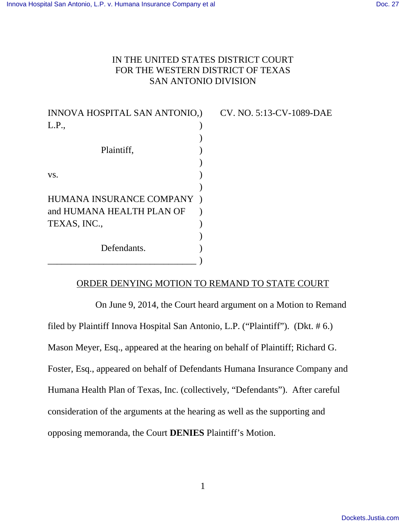## IN THE UNITED STATES DISTRICT COURT FOR THE WESTERN DISTRICT OF TEXAS SAN ANTONIO DIVISION

| INNOVA HOSPITAL SAN ANTONIO,) |  |
|-------------------------------|--|
| L.P.,                         |  |
|                               |  |
| Plaintiff,                    |  |
|                               |  |
| VS.                           |  |
|                               |  |
| HUMANA INSURANCE COMPANY      |  |
| and HUMANA HEALTH PLAN OF     |  |
| TEXAS, INC.,                  |  |
|                               |  |
| Defendants.                   |  |
|                               |  |

### CV. NO. 5:13-CV-1089-DAE

### ORDER DENYING MOTION TO REMAND TO STATE COURT

On June 9, 2014, the Court heard argument on a Motion to Remand filed by Plaintiff Innova Hospital San Antonio, L.P. ("Plaintiff"). (Dkt. # 6.) Mason Meyer, Esq., appeared at the hearing on behalf of Plaintiff; Richard G. Foster, Esq., appeared on behalf of Defendants Humana Insurance Company and Humana Health Plan of Texas, Inc. (collectively, "Defendants"). After careful consideration of the arguments at the hearing as well as the supporting and opposing memoranda, the Court **DENIES** Plaintiff's Motion.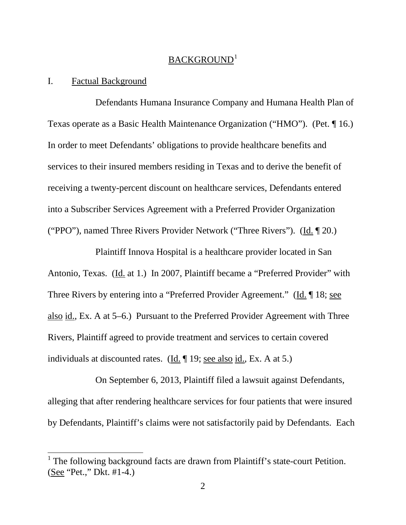# BACKGROUND<sup>1</sup>

### I. Factual Background

 $\overline{a}$ 

Defendants Humana Insurance Company and Humana Health Plan of Texas operate as a Basic Health Maintenance Organization ("HMO"). (Pet. ¶ 16.) In order to meet Defendants' obligations to provide healthcare benefits and services to their insured members residing in Texas and to derive the benefit of receiving a twenty-percent discount on healthcare services, Defendants entered into a Subscriber Services Agreement with a Preferred Provider Organization ("PPO"), named Three Rivers Provider Network ("Three Rivers"). (Id. ¶ 20.)

Plaintiff Innova Hospital is a healthcare provider located in San Antonio, Texas. (Id. at 1.) In 2007, Plaintiff became a "Preferred Provider" with Three Rivers by entering into a "Preferred Provider Agreement." (Id. 18; see also id., Ex. A at 5–6.) Pursuant to the Preferred Provider Agreement with Three Rivers, Plaintiff agreed to provide treatment and services to certain covered individuals at discounted rates. (Id. ¶ 19; see also id., Ex. A at 5.)

On September 6, 2013, Plaintiff filed a lawsuit against Defendants, alleging that after rendering healthcare services for four patients that were insured by Defendants, Plaintiff's claims were not satisfactorily paid by Defendants. Each

<sup>1</sup> The following background facts are drawn from Plaintiff's state-court Petition. (See "Pet.," Dkt. #1-4.)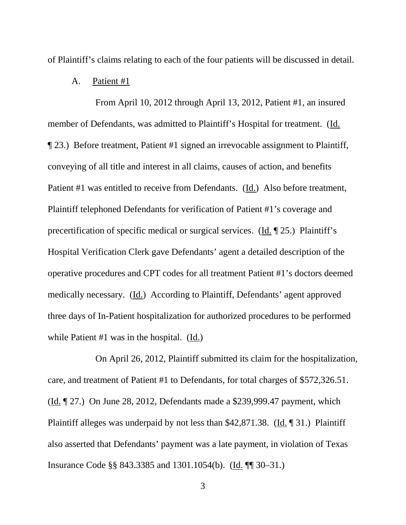of Plaintiff's claims relating to each of the four patients will be discussed in detail.

#### A. Patient #1

From April 10, 2012 through April 13, 2012, Patient #1, an insured member of Defendants, was admitted to Plaintiff's Hospital for treatment. (Id. ¶ 23.) Before treatment, Patient #1 signed an irrevocable assignment to Plaintiff, conveying of all title and interest in all claims, causes of action, and benefits Patient #1 was entitled to receive from Defendants. (Id.) Also before treatment, Plaintiff telephoned Defendants for verification of Patient #1's coverage and precertification of specific medical or surgical services. (Id. ¶ 25.) Plaintiff's Hospital Verification Clerk gave Defendants' agent a detailed description of the operative procedures and CPT codes for all treatment Patient #1's doctors deemed medically necessary. (Id.) According to Plaintiff, Defendants' agent approved three days of In-Patient hospitalization for authorized procedures to be performed while Patient #1 was in the hospital. (Id.)

On April 26, 2012, Plaintiff submitted its claim for the hospitalization, care, and treatment of Patient #1 to Defendants, for total charges of \$572,326.51. (Id. ¶ 27.) On June 28, 2012, Defendants made a \$239,999.47 payment, which Plaintiff alleges was underpaid by not less than \$42,871.38. (Id. ¶ 31.) Plaintiff also asserted that Defendants' payment was a late payment, in violation of Texas Insurance Code §§ 843.3385 and 1301.1054(b). (Id. ¶¶ 30–31.)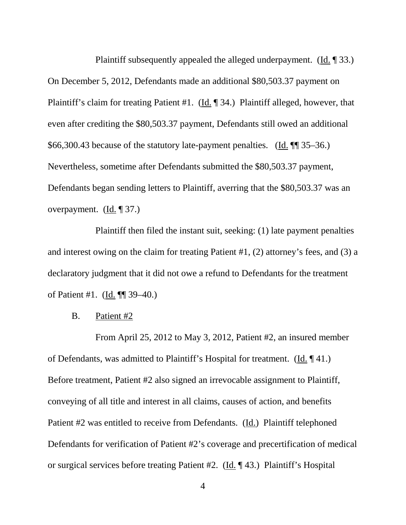Plaintiff subsequently appealed the alleged underpayment. (Id. ¶ 33.) On December 5, 2012, Defendants made an additional \$80,503.37 payment on Plaintiff's claim for treating Patient #1. (Id. ¶ 34.) Plaintiff alleged, however, that even after crediting the \$80,503.37 payment, Defendants still owed an additional \$66,300.43 because of the statutory late-payment penalties. (Id. ¶¶ 35–36.) Nevertheless, sometime after Defendants submitted the \$80,503.37 payment, Defendants began sending letters to Plaintiff, averring that the \$80,503.37 was an overpayment. (Id. ¶ 37.)

Plaintiff then filed the instant suit, seeking: (1) late payment penalties and interest owing on the claim for treating Patient #1, (2) attorney's fees, and (3) a declaratory judgment that it did not owe a refund to Defendants for the treatment of Patient #1. (Id. ¶¶ 39–40.)

#### B. Patient #2

From April 25, 2012 to May 3, 2012, Patient #2, an insured member of Defendants, was admitted to Plaintiff's Hospital for treatment. (Id. ¶ 41.) Before treatment, Patient #2 also signed an irrevocable assignment to Plaintiff, conveying of all title and interest in all claims, causes of action, and benefits Patient #2 was entitled to receive from Defendants. (Id.) Plaintiff telephoned Defendants for verification of Patient #2's coverage and precertification of medical or surgical services before treating Patient #2. (Id. ¶ 43.) Plaintiff's Hospital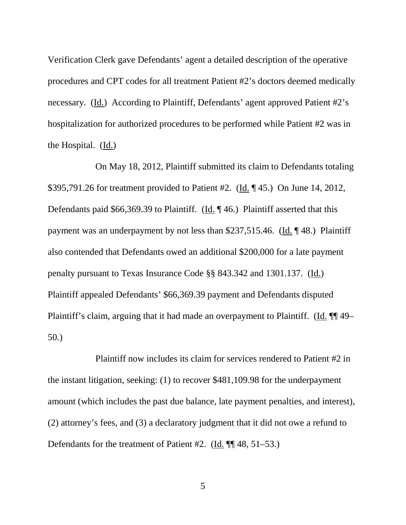Verification Clerk gave Defendants' agent a detailed description of the operative procedures and CPT codes for all treatment Patient #2's doctors deemed medically necessary. (Id.) According to Plaintiff, Defendants' agent approved Patient #2's hospitalization for authorized procedures to be performed while Patient #2 was in the Hospital. (Id.)

On May 18, 2012, Plaintiff submitted its claim to Defendants totaling \$395,791.26 for treatment provided to Patient #2. (Id. ¶ 45.) On June 14, 2012, Defendants paid \$66,369.39 to Plaintiff. (Id. ¶ 46.) Plaintiff asserted that this payment was an underpayment by not less than \$237,515.46. (Id. ¶ 48.) Plaintiff also contended that Defendants owed an additional \$200,000 for a late payment penalty pursuant to Texas Insurance Code §§ 843.342 and 1301.137. (Id.) Plaintiff appealed Defendants' \$66,369.39 payment and Defendants disputed Plaintiff's claim, arguing that it had made an overpayment to Plaintiff. (Id. ¶¶ 49– 50.)

Plaintiff now includes its claim for services rendered to Patient #2 in the instant litigation, seeking: (1) to recover \$481,109.98 for the underpayment amount (which includes the past due balance, late payment penalties, and interest), (2) attorney's fees, and (3) a declaratory judgment that it did not owe a refund to Defendants for the treatment of Patient #2. (Id. ¶¶ 48, 51–53.)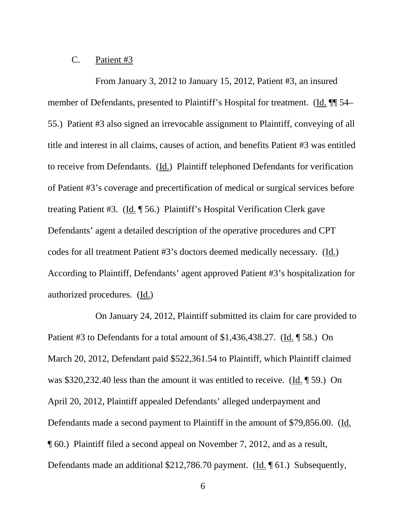### C. Patient #3

From January 3, 2012 to January 15, 2012, Patient #3, an insured member of Defendants, presented to Plaintiff's Hospital for treatment. (Id.  $\P$  54– 55.) Patient #3 also signed an irrevocable assignment to Plaintiff, conveying of all title and interest in all claims, causes of action, and benefits Patient #3 was entitled to receive from Defendants. (Id.) Plaintiff telephoned Defendants for verification of Patient #3's coverage and precertification of medical or surgical services before treating Patient #3. (Id. ¶ 56.) Plaintiff's Hospital Verification Clerk gave Defendants' agent a detailed description of the operative procedures and CPT codes for all treatment Patient #3's doctors deemed medically necessary. (Id.) According to Plaintiff, Defendants' agent approved Patient #3's hospitalization for authorized procedures. (Id.)

On January 24, 2012, Plaintiff submitted its claim for care provided to Patient #3 to Defendants for a total amount of \$1,436,438.27. (Id. ¶ 58.) On March 20, 2012, Defendant paid \$522,361.54 to Plaintiff, which Plaintiff claimed was \$320,232.40 less than the amount it was entitled to receive. (Id. ¶ 59.) On April 20, 2012, Plaintiff appealed Defendants' alleged underpayment and Defendants made a second payment to Plaintiff in the amount of \$79,856.00. (Id. ¶ 60.) Plaintiff filed a second appeal on November 7, 2012, and as a result, Defendants made an additional \$212,786.70 payment. (Id. 161.) Subsequently,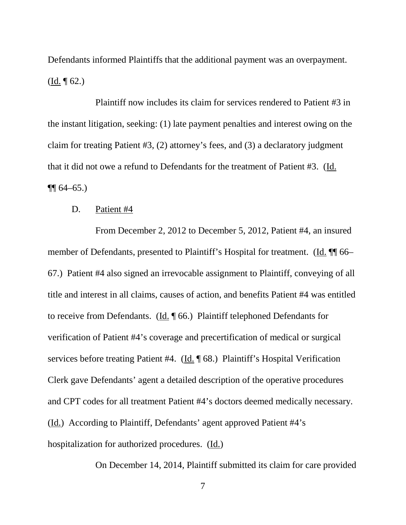Defendants informed Plaintiffs that the additional payment was an overpayment. (Id. ¶ 62.)

Plaintiff now includes its claim for services rendered to Patient #3 in the instant litigation, seeking: (1) late payment penalties and interest owing on the claim for treating Patient #3, (2) attorney's fees, and (3) a declaratory judgment that it did not owe a refund to Defendants for the treatment of Patient #3. (Id.  $\P\P$  64–65.)

### D. Patient #4

From December 2, 2012 to December 5, 2012, Patient #4, an insured member of Defendants, presented to Plaintiff's Hospital for treatment. (Id. ¶¶ 66– 67.) Patient #4 also signed an irrevocable assignment to Plaintiff, conveying of all title and interest in all claims, causes of action, and benefits Patient #4 was entitled to receive from Defendants. (Id. ¶ 66.) Plaintiff telephoned Defendants for verification of Patient #4's coverage and precertification of medical or surgical services before treating Patient #4. (Id. ¶ 68.) Plaintiff's Hospital Verification Clerk gave Defendants' agent a detailed description of the operative procedures and CPT codes for all treatment Patient #4's doctors deemed medically necessary. (Id.) According to Plaintiff, Defendants' agent approved Patient #4's hospitalization for authorized procedures. (Id.)

On December 14, 2014, Plaintiff submitted its claim for care provided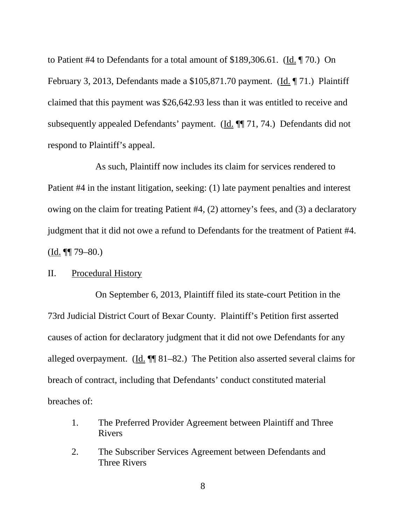to Patient #4 to Defendants for a total amount of \$189,306.61. (Id. ¶ 70.) On February 3, 2013, Defendants made a \$105,871.70 payment. (Id. ¶ 71.) Plaintiff claimed that this payment was \$26,642.93 less than it was entitled to receive and subsequently appealed Defendants' payment. (Id. ¶¶ 71, 74.) Defendants did not respond to Plaintiff's appeal.

As such, Plaintiff now includes its claim for services rendered to Patient #4 in the instant litigation, seeking: (1) late payment penalties and interest owing on the claim for treating Patient #4, (2) attorney's fees, and (3) a declaratory judgment that it did not owe a refund to Defendants for the treatment of Patient #4.  $(Ld. \P\P 79 - 80.)$ 

#### II. Procedural History

On September 6, 2013, Plaintiff filed its state-court Petition in the 73rd Judicial District Court of Bexar County. Plaintiff's Petition first asserted causes of action for declaratory judgment that it did not owe Defendants for any alleged overpayment. (Id.  $\P$  81–82.) The Petition also asserted several claims for breach of contract, including that Defendants' conduct constituted material breaches of:

- 1. The Preferred Provider Agreement between Plaintiff and Three Rivers
- 2. The Subscriber Services Agreement between Defendants and Three Rivers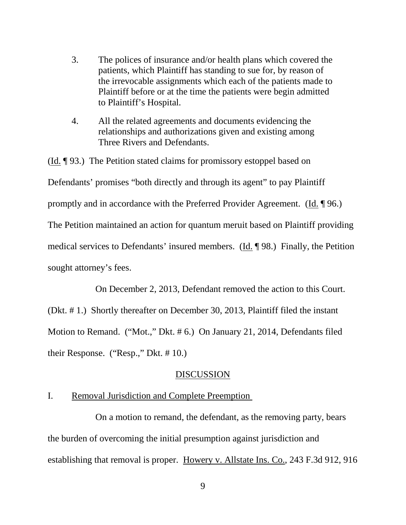- 3. The polices of insurance and/or health plans which covered the patients, which Plaintiff has standing to sue for, by reason of the irrevocable assignments which each of the patients made to Plaintiff before or at the time the patients were begin admitted to Plaintiff's Hospital.
- 4. All the related agreements and documents evidencing the relationships and authorizations given and existing among Three Rivers and Defendants.

(Id. ¶ 93.) The Petition stated claims for promissory estoppel based on Defendants' promises "both directly and through its agent" to pay Plaintiff promptly and in accordance with the Preferred Provider Agreement. (Id. ¶ 96.) The Petition maintained an action for quantum meruit based on Plaintiff providing medical services to Defendants' insured members. (Id. ¶ 98.) Finally, the Petition sought attorney's fees.

On December 2, 2013, Defendant removed the action to this Court.

(Dkt. # 1.) Shortly thereafter on December 30, 2013, Plaintiff filed the instant Motion to Remand. ("Mot.," Dkt. # 6.) On January 21, 2014, Defendants filed their Response. ("Resp.," Dkt. # 10.)

#### DISCUSSION

### I. Removal Jurisdiction and Complete Preemption

On a motion to remand, the defendant, as the removing party, bears the burden of overcoming the initial presumption against jurisdiction and establishing that removal is proper. Howery v. Allstate Ins. Co., 243 F.3d 912, 916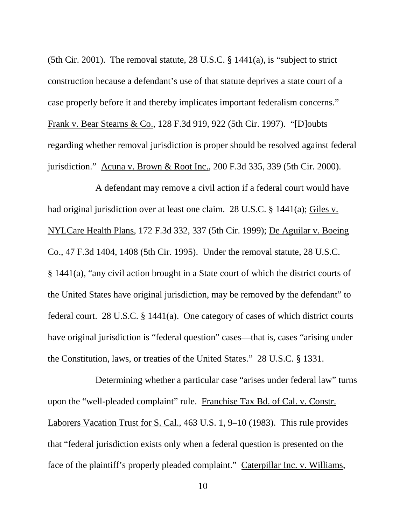(5th Cir. 2001). The removal statute, 28 U.S.C. § 1441(a), is "subject to strict construction because a defendant's use of that statute deprives a state court of a case properly before it and thereby implicates important federalism concerns." Frank v. Bear Stearns & Co., 128 F.3d 919, 922 (5th Cir. 1997). "[D]oubts regarding whether removal jurisdiction is proper should be resolved against federal jurisdiction." Acuna v. Brown & Root Inc., 200 F.3d 335, 339 (5th Cir. 2000).

A defendant may remove a civil action if a federal court would have had original jurisdiction over at least one claim. 28 U.S.C. § 1441(a); Giles v. NYLCare Health Plans, 172 F.3d 332, 337 (5th Cir. 1999); De Aguilar v. Boeing Co., 47 F.3d 1404, 1408 (5th Cir. 1995). Under the removal statute, 28 U.S.C. § 1441(a), "any civil action brought in a State court of which the district courts of the United States have original jurisdiction, may be removed by the defendant" to federal court. 28 U.S.C. § 1441(a). One category of cases of which district courts have original jurisdiction is "federal question" cases—that is, cases "arising under the Constitution, laws, or treaties of the United States." 28 U.S.C. § 1331.

Determining whether a particular case "arises under federal law" turns upon the "well-pleaded complaint" rule. Franchise Tax Bd. of Cal. v. Constr. Laborers Vacation Trust for S. Cal., 463 U.S. 1, 9–10 (1983). This rule provides that "federal jurisdiction exists only when a federal question is presented on the face of the plaintiff's properly pleaded complaint." Caterpillar Inc. v. Williams,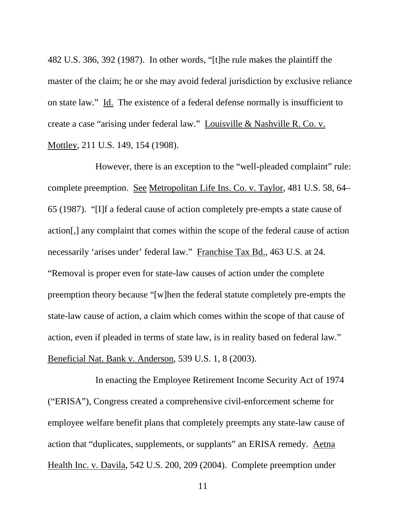482 U.S. 386, 392 (1987). In other words, "[t]he rule makes the plaintiff the master of the claim; he or she may avoid federal jurisdiction by exclusive reliance on state law." Id. The existence of a federal defense normally is insufficient to create a case "arising under federal law." Louisville & Nashville R. Co. v. Mottley, 211 U.S. 149, 154 (1908).

However, there is an exception to the "well-pleaded complaint" rule: complete preemption. See Metropolitan Life Ins. Co. v. Taylor, 481 U.S. 58, 64– 65 (1987). "[I]f a federal cause of action completely pre-empts a state cause of action[,] any complaint that comes within the scope of the federal cause of action necessarily 'arises under' federal law." Franchise Tax Bd., 463 U.S. at 24. "Removal is proper even for state-law causes of action under the complete preemption theory because "[w]hen the federal statute completely pre-empts the state-law cause of action, a claim which comes within the scope of that cause of action, even if pleaded in terms of state law, is in reality based on federal law." Beneficial Nat. Bank v. Anderson, 539 U.S. 1, 8 (2003).

In enacting the Employee Retirement Income Security Act of 1974 ("ERISA"), Congress created a comprehensive civil-enforcement scheme for employee welfare benefit plans that completely preempts any state-law cause of action that "duplicates, supplements, or supplants" an ERISA remedy. Aetna Health Inc. v. Davila, 542 U.S. 200, 209 (2004). Complete preemption under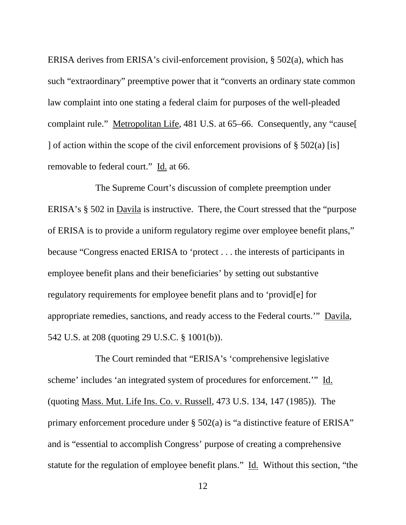ERISA derives from ERISA's civil-enforcement provision, § 502(a), which has such "extraordinary" preemptive power that it "converts an ordinary state common law complaint into one stating a federal claim for purposes of the well-pleaded complaint rule." Metropolitan Life, 481 U.S. at 65–66. Consequently, any "cause[ ] of action within the scope of the civil enforcement provisions of  $\S 502(a)$  [is] removable to federal court." Id. at 66.

The Supreme Court's discussion of complete preemption under ERISA's § 502 in Davila is instructive. There, the Court stressed that the "purpose of ERISA is to provide a uniform regulatory regime over employee benefit plans," because "Congress enacted ERISA to 'protect . . . the interests of participants in employee benefit plans and their beneficiaries' by setting out substantive regulatory requirements for employee benefit plans and to 'provid[e] for appropriate remedies, sanctions, and ready access to the Federal courts.'" Davila, 542 U.S. at 208 (quoting 29 U.S.C. § 1001(b)).

The Court reminded that "ERISA's 'comprehensive legislative scheme' includes 'an integrated system of procedures for enforcement.'" Id. (quoting Mass. Mut. Life Ins. Co. v. Russell, 473 U.S. 134, 147 (1985)). The primary enforcement procedure under § 502(a) is "a distinctive feature of ERISA" and is "essential to accomplish Congress' purpose of creating a comprehensive statute for the regulation of employee benefit plans." Id. Without this section, "the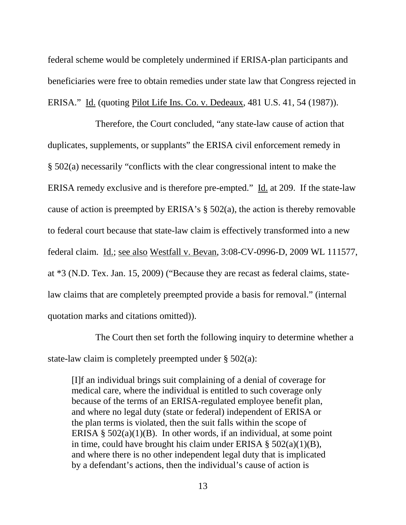federal scheme would be completely undermined if ERISA-plan participants and beneficiaries were free to obtain remedies under state law that Congress rejected in ERISA." Id. (quoting Pilot Life Ins. Co. v. Dedeaux, 481 U.S. 41, 54 (1987)).

Therefore, the Court concluded, "any state-law cause of action that duplicates, supplements, or supplants" the ERISA civil enforcement remedy in § 502(a) necessarily "conflicts with the clear congressional intent to make the ERISA remedy exclusive and is therefore pre-empted." Id. at 209. If the state-law cause of action is preempted by ERISA's § 502(a), the action is thereby removable to federal court because that state-law claim is effectively transformed into a new federal claim. Id.; see also Westfall v. Bevan, 3:08-CV-0996-D, 2009 WL 111577, at \*3 (N.D. Tex. Jan. 15, 2009) ("Because they are recast as federal claims, statelaw claims that are completely preempted provide a basis for removal." (internal quotation marks and citations omitted)).

The Court then set forth the following inquiry to determine whether a state-law claim is completely preempted under § 502(a):

[I]f an individual brings suit complaining of a denial of coverage for medical care, where the individual is entitled to such coverage only because of the terms of an ERISA-regulated employee benefit plan, and where no legal duty (state or federal) independent of ERISA or the plan terms is violated, then the suit falls within the scope of ERISA  $\S$  502(a)(1)(B). In other words, if an individual, at some point in time, could have brought his claim under ERISA  $\S$  502(a)(1)(B), and where there is no other independent legal duty that is implicated by a defendant's actions, then the individual's cause of action is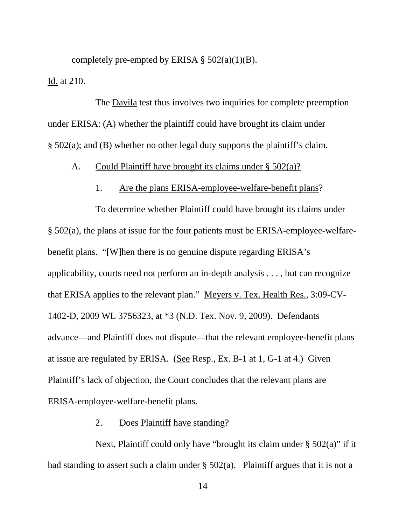completely pre-empted by ERISA  $\S$  502(a)(1)(B). Id. at 210.

The Davila test thus involves two inquiries for complete preemption under ERISA: (A) whether the plaintiff could have brought its claim under § 502(a); and (B) whether no other legal duty supports the plaintiff's claim.

### A. Could Plaintiff have brought its claims under § 502(a)?

### 1. Are the plans ERISA-employee-welfare-benefit plans?

To determine whether Plaintiff could have brought its claims under § 502(a), the plans at issue for the four patients must be ERISA-employee-welfarebenefit plans. "[W]hen there is no genuine dispute regarding ERISA's applicability, courts need not perform an in-depth analysis . . . , but can recognize that ERISA applies to the relevant plan." Meyers v. Tex. Health Res., 3:09-CV-1402-D, 2009 WL 3756323, at \*3 (N.D. Tex. Nov. 9, 2009). Defendants advance—and Plaintiff does not dispute—that the relevant employee-benefit plans at issue are regulated by ERISA. (See Resp., Ex. B-1 at 1, G-1 at 4.) Given Plaintiff's lack of objection, the Court concludes that the relevant plans are ERISA-employee-welfare-benefit plans.

#### 2. Does Plaintiff have standing?

Next, Plaintiff could only have "brought its claim under  $\S 502(a)$ " if it had standing to assert such a claim under § 502(a). Plaintiff argues that it is not a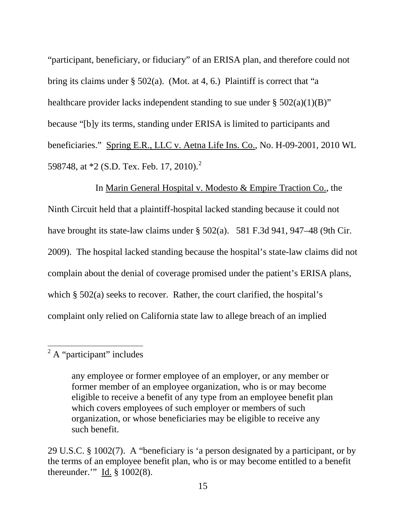"participant, beneficiary, or fiduciary" of an ERISA plan, and therefore could not bring its claims under § 502(a). (Mot. at 4, 6.) Plaintiff is correct that "a healthcare provider lacks independent standing to sue under  $\S$  502(a)(1)(B)" because "[b]y its terms, standing under ERISA is limited to participants and beneficiaries." Spring E.R., LLC v. Aetna Life Ins. Co., No. H-09-2001, 2010 WL 598748, at  $*2$  (S.D. Tex. Feb. 17, 2010).<sup>2</sup>

In Marin General Hospital v. Modesto & Empire Traction Co., the Ninth Circuit held that a plaintiff-hospital lacked standing because it could not have brought its state-law claims under § 502(a). 581 F.3d 941, 947–48 (9th Cir. 2009). The hospital lacked standing because the hospital's state-law claims did not complain about the denial of coverage promised under the patient's ERISA plans, which § 502(a) seeks to recover. Rather, the court clarified, the hospital's complaint only relied on California state law to allege breach of an implied

# $2^2$  A "participant" includes

1

any employee or former employee of an employer, or any member or former member of an employee organization, who is or may become eligible to receive a benefit of any type from an employee benefit plan which covers employees of such employer or members of such organization, or whose beneficiaries may be eligible to receive any such benefit.

<sup>29</sup> U.S.C. § 1002(7). A "beneficiary is 'a person designated by a participant, or by the terms of an employee benefit plan, who is or may become entitled to a benefit thereunder." Id.  $\S$  1002(8).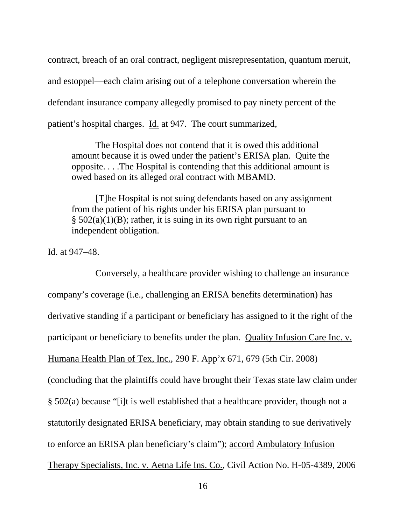contract, breach of an oral contract, negligent misrepresentation, quantum meruit, and estoppel—each claim arising out of a telephone conversation wherein the defendant insurance company allegedly promised to pay ninety percent of the patient's hospital charges. Id. at 947. The court summarized,

The Hospital does not contend that it is owed this additional amount because it is owed under the patient's ERISA plan. Quite the opposite. . . .The Hospital is contending that this additional amount is owed based on its alleged oral contract with MBAMD.

[T]he Hospital is not suing defendants based on any assignment from the patient of his rights under his ERISA plan pursuant to  $\S$  502(a)(1)(B); rather, it is suing in its own right pursuant to an independent obligation.

Id. at 947–48.

Conversely, a healthcare provider wishing to challenge an insurance company's coverage (i.e., challenging an ERISA benefits determination) has derivative standing if a participant or beneficiary has assigned to it the right of the participant or beneficiary to benefits under the plan. Quality Infusion Care Inc. v. Humana Health Plan of Tex, Inc., 290 F. App'x 671, 679 (5th Cir. 2008) (concluding that the plaintiffs could have brought their Texas state law claim under § 502(a) because "[i]t is well established that a healthcare provider, though not a statutorily designated ERISA beneficiary, may obtain standing to sue derivatively to enforce an ERISA plan beneficiary's claim"); accord Ambulatory Infusion Therapy Specialists, Inc. v. Aetna Life Ins. Co., Civil Action No. H-05-4389, 2006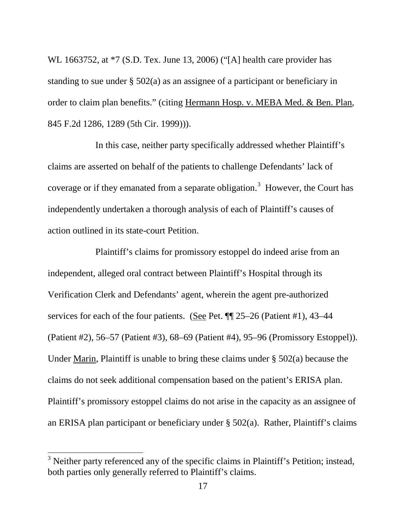WL 1663752, at  $*7$  (S.D. Tex. June 13, 2006) ("[A] health care provider has standing to sue under § 502(a) as an assignee of a participant or beneficiary in order to claim plan benefits." (citing Hermann Hosp. v. MEBA Med. & Ben. Plan, 845 F.2d 1286, 1289 (5th Cir. 1999))).

In this case, neither party specifically addressed whether Plaintiff's claims are asserted on behalf of the patients to challenge Defendants' lack of coverage or if they emanated from a separate obligation.<sup>3</sup> However, the Court has independently undertaken a thorough analysis of each of Plaintiff's causes of action outlined in its state-court Petition.

Plaintiff's claims for promissory estoppel do indeed arise from an independent, alleged oral contract between Plaintiff's Hospital through its Verification Clerk and Defendants' agent, wherein the agent pre-authorized services for each of the four patients. (See Pet. ¶¶ 25–26 (Patient #1), 43–44 (Patient #2), 56–57 (Patient #3), 68–69 (Patient #4), 95–96 (Promissory Estoppel)). Under Marin, Plaintiff is unable to bring these claims under § 502(a) because the claims do not seek additional compensation based on the patient's ERISA plan. Plaintiff's promissory estoppel claims do not arise in the capacity as an assignee of an ERISA plan participant or beneficiary under § 502(a). Rather, Plaintiff's claims

-

<sup>&</sup>lt;sup>3</sup> Neither party referenced any of the specific claims in Plaintiff's Petition; instead, both parties only generally referred to Plaintiff's claims.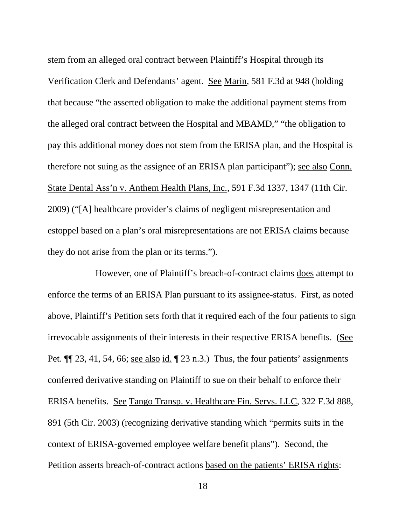stem from an alleged oral contract between Plaintiff's Hospital through its Verification Clerk and Defendants' agent. See Marin, 581 F.3d at 948 (holding that because "the asserted obligation to make the additional payment stems from the alleged oral contract between the Hospital and MBAMD," "the obligation to pay this additional money does not stem from the ERISA plan, and the Hospital is therefore not suing as the assignee of an ERISA plan participant"); see also Conn. State Dental Ass'n v. Anthem Health Plans, Inc., 591 F.3d 1337, 1347 (11th Cir. 2009) ("[A] healthcare provider's claims of negligent misrepresentation and estoppel based on a plan's oral misrepresentations are not ERISA claims because they do not arise from the plan or its terms.").

However, one of Plaintiff's breach-of-contract claims does attempt to enforce the terms of an ERISA Plan pursuant to its assignee-status. First, as noted above, Plaintiff's Petition sets forth that it required each of the four patients to sign irrevocable assignments of their interests in their respective ERISA benefits. (See Pet. ¶¶ 23, 41, 54, 66; see also id. ¶ 23 n.3.) Thus, the four patients' assignments conferred derivative standing on Plaintiff to sue on their behalf to enforce their ERISA benefits. See Tango Transp. v. Healthcare Fin. Servs. LLC, 322 F.3d 888, 891 (5th Cir. 2003) (recognizing derivative standing which "permits suits in the context of ERISA-governed employee welfare benefit plans"). Second, the Petition asserts breach-of-contract actions based on the patients' ERISA rights: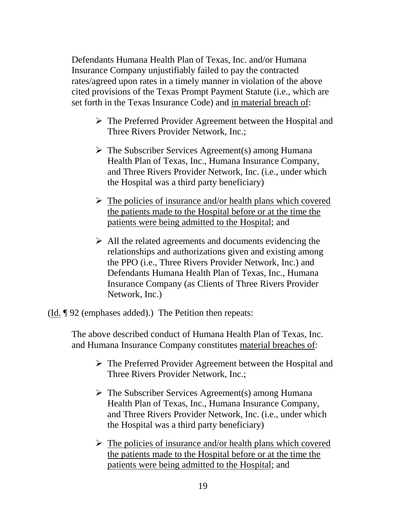Defendants Humana Health Plan of Texas, Inc. and/or Humana Insurance Company unjustifiably failed to pay the contracted rates/agreed upon rates in a timely manner in violation of the above cited provisions of the Texas Prompt Payment Statute (i.e., which are set forth in the Texas Insurance Code) and in material breach of:

- The Preferred Provider Agreement between the Hospital and Three Rivers Provider Network, Inc.;
- $\triangleright$  The Subscriber Services Agreement(s) among Humana Health Plan of Texas, Inc., Humana Insurance Company, and Three Rivers Provider Network, Inc. (i.e., under which the Hospital was a third party beneficiary)
- $\triangleright$  The policies of insurance and/or health plans which covered the patients made to the Hospital before or at the time the patients were being admitted to the Hospital; and
- $\triangleright$  All the related agreements and documents evidencing the relationships and authorizations given and existing among the PPO (i.e., Three Rivers Provider Network, Inc.) and Defendants Humana Health Plan of Texas, Inc., Humana Insurance Company (as Clients of Three Rivers Provider Network, Inc.)

 $(\underline{Id.} \P 92$  (emphases added).) The Petition then repeats:

The above described conduct of Humana Health Plan of Texas, Inc. and Humana Insurance Company constitutes material breaches of:

- The Preferred Provider Agreement between the Hospital and Three Rivers Provider Network, Inc.;
- $\triangleright$  The Subscriber Services Agreement(s) among Humana Health Plan of Texas, Inc., Humana Insurance Company, and Three Rivers Provider Network, Inc. (i.e., under which the Hospital was a third party beneficiary)
- $\triangleright$  The policies of insurance and/or health plans which covered the patients made to the Hospital before or at the time the patients were being admitted to the Hospital; and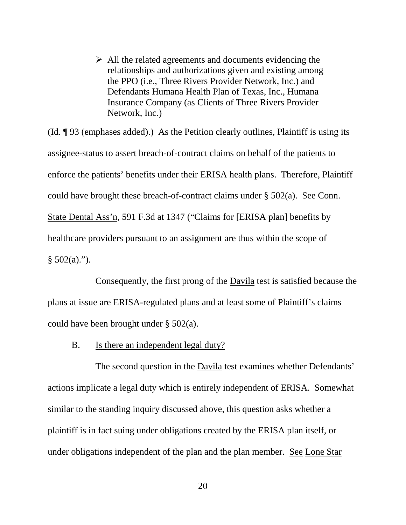$\triangleright$  All the related agreements and documents evidencing the relationships and authorizations given and existing among the PPO (i.e., Three Rivers Provider Network, Inc.) and Defendants Humana Health Plan of Texas, Inc., Humana Insurance Company (as Clients of Three Rivers Provider Network, Inc.)

(Id. ¶ 93 (emphases added).) As the Petition clearly outlines, Plaintiff is using its assignee-status to assert breach-of-contract claims on behalf of the patients to enforce the patients' benefits under their ERISA health plans. Therefore, Plaintiff could have brought these breach-of-contract claims under § 502(a). See Conn. State Dental Ass'n, 591 F.3d at 1347 ("Claims for [ERISA plan] benefits by healthcare providers pursuant to an assignment are thus within the scope of  $§ 502(a)$ .").

Consequently, the first prong of the Davila test is satisfied because the plans at issue are ERISA-regulated plans and at least some of Plaintiff's claims could have been brought under § 502(a).

B. Is there an independent legal duty?

The second question in the Davila test examines whether Defendants' actions implicate a legal duty which is entirely independent of ERISA. Somewhat similar to the standing inquiry discussed above, this question asks whether a plaintiff is in fact suing under obligations created by the ERISA plan itself, or under obligations independent of the plan and the plan member. See Lone Star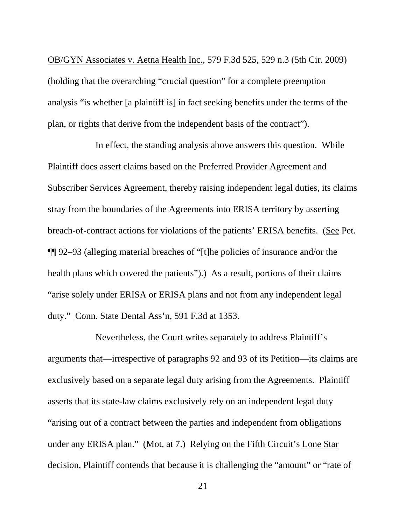OB/GYN Associates v. Aetna Health Inc., 579 F.3d 525, 529 n.3 (5th Cir. 2009) (holding that the overarching "crucial question" for a complete preemption analysis "is whether [a plaintiff is] in fact seeking benefits under the terms of the plan, or rights that derive from the independent basis of the contract").

In effect, the standing analysis above answers this question. While Plaintiff does assert claims based on the Preferred Provider Agreement and Subscriber Services Agreement, thereby raising independent legal duties, its claims stray from the boundaries of the Agreements into ERISA territory by asserting breach-of-contract actions for violations of the patients' ERISA benefits. (See Pet. ¶¶ 92–93 (alleging material breaches of "[t]he policies of insurance and/or the health plans which covered the patients").) As a result, portions of their claims "arise solely under ERISA or ERISA plans and not from any independent legal duty." Conn. State Dental Ass'n, 591 F.3d at 1353.

Nevertheless, the Court writes separately to address Plaintiff's arguments that—irrespective of paragraphs 92 and 93 of its Petition—its claims are exclusively based on a separate legal duty arising from the Agreements. Plaintiff asserts that its state-law claims exclusively rely on an independent legal duty "arising out of a contract between the parties and independent from obligations under any ERISA plan." (Mot. at 7.) Relying on the Fifth Circuit's Lone Star decision, Plaintiff contends that because it is challenging the "amount" or "rate of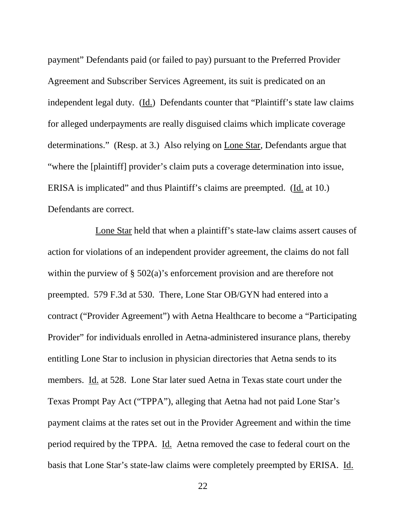payment" Defendants paid (or failed to pay) pursuant to the Preferred Provider Agreement and Subscriber Services Agreement, its suit is predicated on an independent legal duty. (Id.) Defendants counter that "Plaintiff's state law claims for alleged underpayments are really disguised claims which implicate coverage determinations." (Resp. at 3.) Also relying on Lone Star, Defendants argue that "where the [plaintiff] provider's claim puts a coverage determination into issue, ERISA is implicated" and thus Plaintiff's claims are preempted. (Id. at 10.) Defendants are correct.

Lone Star held that when a plaintiff's state-law claims assert causes of action for violations of an independent provider agreement, the claims do not fall within the purview of § 502(a)'s enforcement provision and are therefore not preempted. 579 F.3d at 530. There, Lone Star OB/GYN had entered into a contract ("Provider Agreement") with Aetna Healthcare to become a "Participating Provider" for individuals enrolled in Aetna-administered insurance plans, thereby entitling Lone Star to inclusion in physician directories that Aetna sends to its members. Id. at 528. Lone Star later sued Aetna in Texas state court under the Texas Prompt Pay Act ("TPPA"), alleging that Aetna had not paid Lone Star's payment claims at the rates set out in the Provider Agreement and within the time period required by the TPPA. Id. Aetna removed the case to federal court on the basis that Lone Star's state-law claims were completely preempted by ERISA. Id.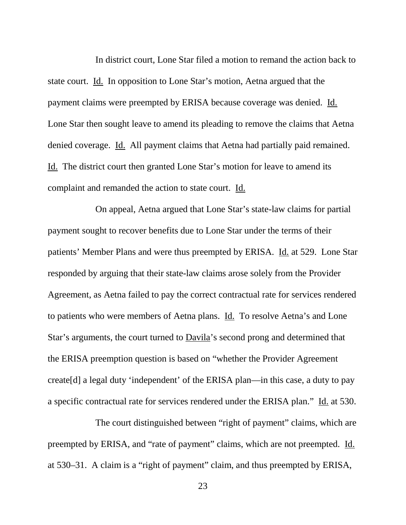In district court, Lone Star filed a motion to remand the action back to state court. Id. In opposition to Lone Star's motion, Aetna argued that the payment claims were preempted by ERISA because coverage was denied. Id. Lone Star then sought leave to amend its pleading to remove the claims that Aetna denied coverage. Id. All payment claims that Aetna had partially paid remained. Id. The district court then granted Lone Star's motion for leave to amend its complaint and remanded the action to state court. Id.

On appeal, Aetna argued that Lone Star's state-law claims for partial payment sought to recover benefits due to Lone Star under the terms of their patients' Member Plans and were thus preempted by ERISA. Id. at 529. Lone Star responded by arguing that their state-law claims arose solely from the Provider Agreement, as Aetna failed to pay the correct contractual rate for services rendered to patients who were members of Aetna plans. Id. To resolve Aetna's and Lone Star's arguments, the court turned to Davila's second prong and determined that the ERISA preemption question is based on "whether the Provider Agreement create[d] a legal duty 'independent' of the ERISA plan—in this case, a duty to pay a specific contractual rate for services rendered under the ERISA plan." Id. at 530.

The court distinguished between "right of payment" claims, which are preempted by ERISA, and "rate of payment" claims, which are not preempted. Id. at 530–31. A claim is a "right of payment" claim, and thus preempted by ERISA,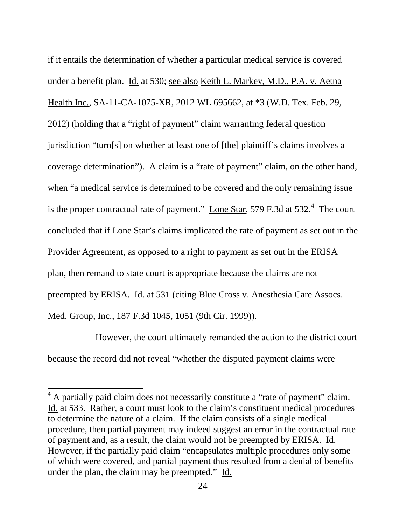if it entails the determination of whether a particular medical service is covered under a benefit plan. Id. at 530; see also Keith L. Markey, M.D., P.A. v. Aetna Health Inc., SA-11-CA-1075-XR, 2012 WL 695662, at \*3 (W.D. Tex. Feb. 29, 2012) (holding that a "right of payment" claim warranting federal question jurisdiction "turn[s] on whether at least one of [the] plaintiff's claims involves a coverage determination"). A claim is a "rate of payment" claim, on the other hand, when "a medical service is determined to be covered and the only remaining issue is the proper contractual rate of payment." Lone Star, 579 F.3d at  $532.^4$  The court concluded that if Lone Star's claims implicated the rate of payment as set out in the Provider Agreement, as opposed to a right to payment as set out in the ERISA plan, then remand to state court is appropriate because the claims are not preempted by ERISA. Id. at 531 (citing Blue Cross v. Anesthesia Care Assocs. Med. Group, Inc., 187 F.3d 1045, 1051 (9th Cir. 1999)).

However, the court ultimately remanded the action to the district court because the record did not reveal "whether the disputed payment claims were

 $4$  A partially paid claim does not necessarily constitute a "rate of payment" claim. Id. at 533. Rather, a court must look to the claim's constituent medical procedures to determine the nature of a claim. If the claim consists of a single medical procedure, then partial payment may indeed suggest an error in the contractual rate of payment and, as a result, the claim would not be preempted by ERISA. Id. However, if the partially paid claim "encapsulates multiple procedures only some of which were covered, and partial payment thus resulted from a denial of benefits under the plan, the claim may be preempted." Id.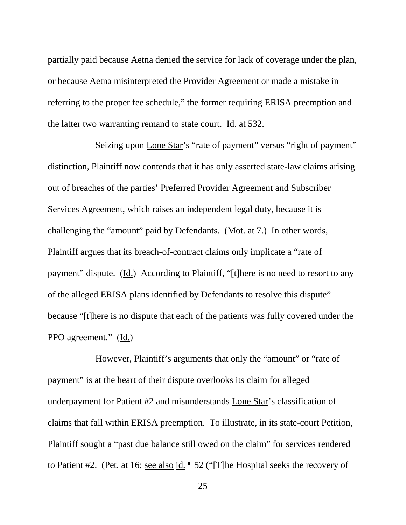partially paid because Aetna denied the service for lack of coverage under the plan, or because Aetna misinterpreted the Provider Agreement or made a mistake in referring to the proper fee schedule," the former requiring ERISA preemption and the latter two warranting remand to state court. Id. at 532.

Seizing upon Lone Star's "rate of payment" versus "right of payment" distinction, Plaintiff now contends that it has only asserted state-law claims arising out of breaches of the parties' Preferred Provider Agreement and Subscriber Services Agreement, which raises an independent legal duty, because it is challenging the "amount" paid by Defendants. (Mot. at 7.) In other words, Plaintiff argues that its breach-of-contract claims only implicate a "rate of payment" dispute. (Id.) According to Plaintiff, "[t]here is no need to resort to any of the alleged ERISA plans identified by Defendants to resolve this dispute" because "[t]here is no dispute that each of the patients was fully covered under the PPO agreement." (Id.)

However, Plaintiff's arguments that only the "amount" or "rate of payment" is at the heart of their dispute overlooks its claim for alleged underpayment for Patient #2 and misunderstands Lone Star's classification of claims that fall within ERISA preemption. To illustrate, in its state-court Petition, Plaintiff sought a "past due balance still owed on the claim" for services rendered to Patient #2. (Pet. at 16; see also id. ¶ 52 ("[T]he Hospital seeks the recovery of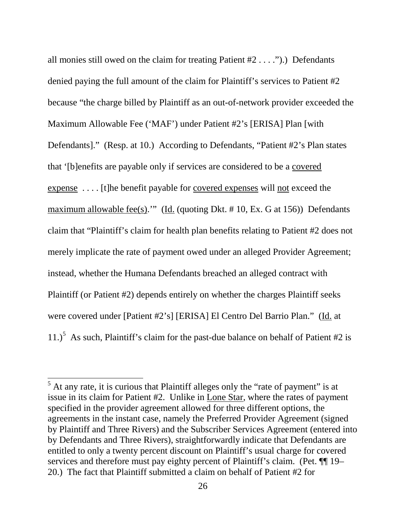all monies still owed on the claim for treating Patient #2 . . . .").) Defendants denied paying the full amount of the claim for Plaintiff's services to Patient #2 because "the charge billed by Plaintiff as an out-of-network provider exceeded the Maximum Allowable Fee ('MAF') under Patient #2's [ERISA] Plan [with Defendants]." (Resp. at 10.) According to Defendants, "Patient #2's Plan states that '[b]enefits are payable only if services are considered to be a covered expense . . . . [t]he benefit payable for covered expenses will not exceed the maximum allowable fee(s)."" (Id. (quoting Dkt. # 10, Ex. G at 156)) Defendants claim that "Plaintiff's claim for health plan benefits relating to Patient #2 does not merely implicate the rate of payment owed under an alleged Provider Agreement; instead, whether the Humana Defendants breached an alleged contract with Plaintiff (or Patient #2) depends entirely on whether the charges Plaintiff seeks were covered under [Patient #2's] [ERISA] El Centro Del Barrio Plan." (Id. at 11.)<sup>5</sup> As such, Plaintiff's claim for the past-due balance on behalf of Patient #2 is

 $\overline{a}$ 

 $<sup>5</sup>$  At any rate, it is curious that Plaintiff alleges only the "rate of payment" is at</sup> issue in its claim for Patient #2. Unlike in Lone Star, where the rates of payment specified in the provider agreement allowed for three different options, the agreements in the instant case, namely the Preferred Provider Agreement (signed by Plaintiff and Three Rivers) and the Subscriber Services Agreement (entered into by Defendants and Three Rivers), straightforwardly indicate that Defendants are entitled to only a twenty percent discount on Plaintiff's usual charge for covered services and therefore must pay eighty percent of Plaintiff's claim. (Pet.  $\P$  19– 20.) The fact that Plaintiff submitted a claim on behalf of Patient #2 for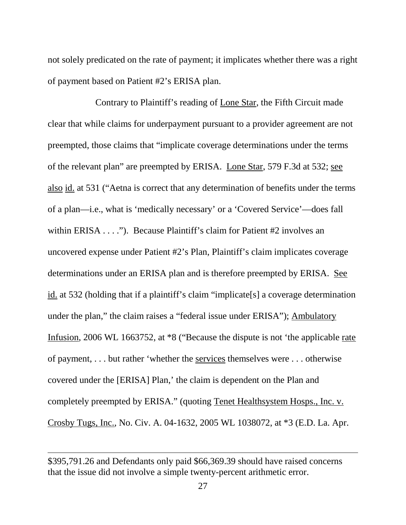not solely predicated on the rate of payment; it implicates whether there was a right of payment based on Patient #2's ERISA plan.

Contrary to Plaintiff's reading of Lone Star, the Fifth Circuit made clear that while claims for underpayment pursuant to a provider agreement are not preempted, those claims that "implicate coverage determinations under the terms of the relevant plan" are preempted by ERISA. Lone Star, 579 F.3d at 532; see also id. at 531 ("Aetna is correct that any determination of benefits under the terms of a plan—i.e., what is 'medically necessary' or a 'Covered Service'—does fall within ERISA . . . ."). Because Plaintiff's claim for Patient #2 involves an uncovered expense under Patient #2's Plan, Plaintiff's claim implicates coverage determinations under an ERISA plan and is therefore preempted by ERISA. See id. at 532 (holding that if a plaintiff's claim "implicate[s] a coverage determination under the plan," the claim raises a "federal issue under ERISA"); Ambulatory Infusion, 2006 WL 1663752, at \*8 ("Because the dispute is not 'the applicable rate of payment, . . . but rather 'whether the services themselves were . . . otherwise covered under the [ERISA] Plan,' the claim is dependent on the Plan and completely preempted by ERISA." (quoting Tenet Healthsystem Hosps., Inc. v. Crosby Tugs, Inc., No. Civ. A. 04-1632, 2005 WL 1038072, at \*3 (E.D. La. Apr.

 $\overline{a}$ 

<sup>\$395,791.26</sup> and Defendants only paid \$66,369.39 should have raised concerns that the issue did not involve a simple twenty-percent arithmetic error.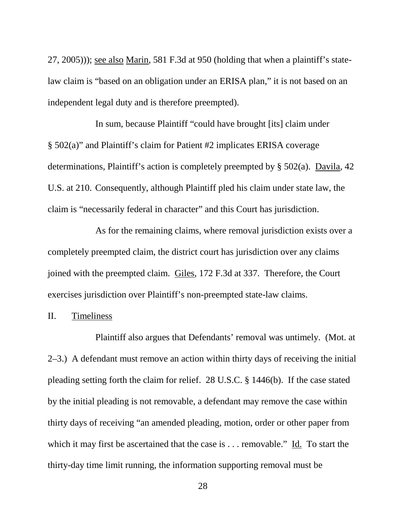27, 2005))); see also Marin, 581 F.3d at 950 (holding that when a plaintiff's statelaw claim is "based on an obligation under an ERISA plan," it is not based on an independent legal duty and is therefore preempted).

In sum, because Plaintiff "could have brought [its] claim under § 502(a)" and Plaintiff's claim for Patient #2 implicates ERISA coverage determinations, Plaintiff's action is completely preempted by § 502(a). Davila, 42 U.S. at 210. Consequently, although Plaintiff pled his claim under state law, the claim is "necessarily federal in character" and this Court has jurisdiction.

As for the remaining claims, where removal jurisdiction exists over a completely preempted claim, the district court has jurisdiction over any claims joined with the preempted claim. Giles, 172 F.3d at 337. Therefore, the Court exercises jurisdiction over Plaintiff's non-preempted state-law claims.

#### II. Timeliness

Plaintiff also argues that Defendants' removal was untimely. (Mot. at 2–3.) A defendant must remove an action within thirty days of receiving the initial pleading setting forth the claim for relief. 28 U.S.C. § 1446(b). If the case stated by the initial pleading is not removable, a defendant may remove the case within thirty days of receiving "an amended pleading, motion, order or other paper from which it may first be ascertained that the case is . . . removable." Id. To start the thirty-day time limit running, the information supporting removal must be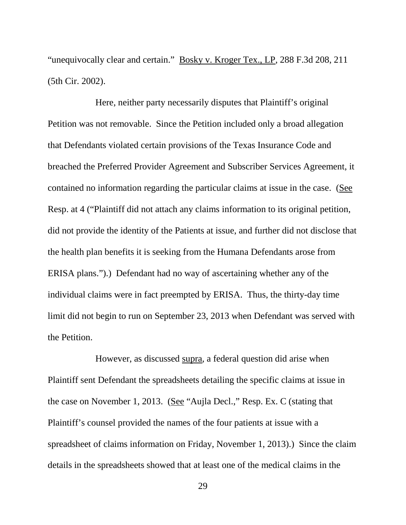"unequivocally clear and certain." Bosky v. Kroger Tex., LP, 288 F.3d 208, 211 (5th Cir. 2002).

Here, neither party necessarily disputes that Plaintiff's original Petition was not removable. Since the Petition included only a broad allegation that Defendants violated certain provisions of the Texas Insurance Code and breached the Preferred Provider Agreement and Subscriber Services Agreement, it contained no information regarding the particular claims at issue in the case. (See Resp. at 4 ("Plaintiff did not attach any claims information to its original petition, did not provide the identity of the Patients at issue, and further did not disclose that the health plan benefits it is seeking from the Humana Defendants arose from ERISA plans.").) Defendant had no way of ascertaining whether any of the individual claims were in fact preempted by ERISA. Thus, the thirty-day time limit did not begin to run on September 23, 2013 when Defendant was served with the Petition.

However, as discussed supra, a federal question did arise when Plaintiff sent Defendant the spreadsheets detailing the specific claims at issue in the case on November 1, 2013. (See "Aujla Decl.," Resp. Ex. C (stating that Plaintiff's counsel provided the names of the four patients at issue with a spreadsheet of claims information on Friday, November 1, 2013).) Since the claim details in the spreadsheets showed that at least one of the medical claims in the